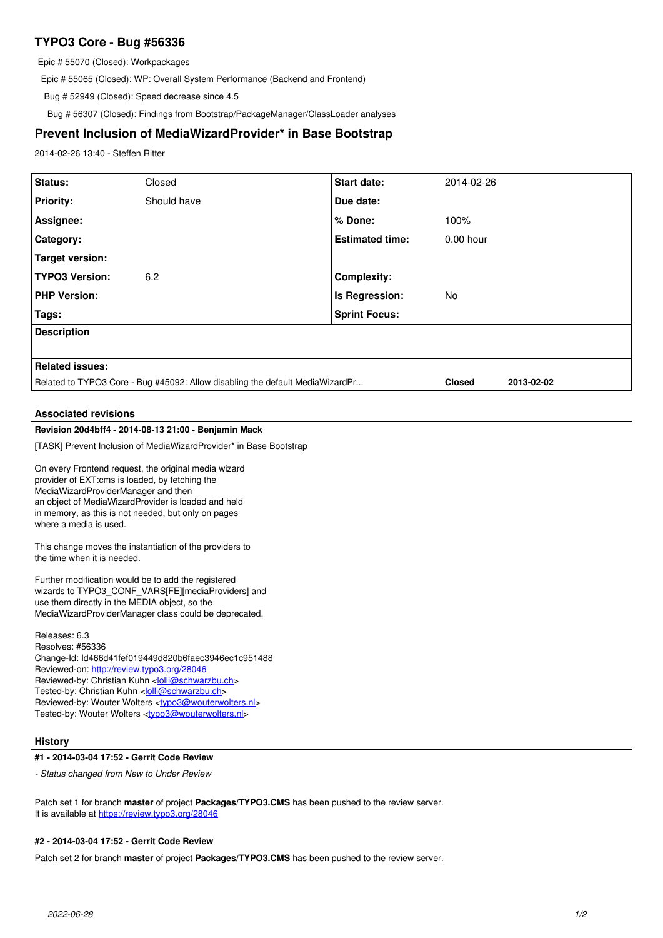# **TYPO3 Core - Bug #56336**

Epic # 55070 (Closed): Workpackages

Epic # 55065 (Closed): WP: Overall System Performance (Backend and Frontend)

Bug # 52949 (Closed): Speed decrease since 4.5

Bug # 56307 (Closed): Findings from Bootstrap/PackageManager/ClassLoader analyses

# **Prevent Inclusion of MediaWizardProvider\* in Base Bootstrap**

2014-02-26 13:40 - Steffen Ritter

| Status:                                                                       | Closed      | <b>Start date:</b>     | 2014-02-26                  |
|-------------------------------------------------------------------------------|-------------|------------------------|-----------------------------|
| <b>Priority:</b>                                                              | Should have | Due date:              |                             |
| Assignee:                                                                     |             | % Done:                | 100%                        |
| Category:                                                                     |             | <b>Estimated time:</b> | $0.00$ hour                 |
| Target version:                                                               |             |                        |                             |
| <b>TYPO3 Version:</b>                                                         | 6.2         | <b>Complexity:</b>     |                             |
| <b>PHP Version:</b>                                                           |             | Is Regression:         | No                          |
| Tags:                                                                         |             | <b>Sprint Focus:</b>   |                             |
| <b>Description</b>                                                            |             |                        |                             |
|                                                                               |             |                        |                             |
| <b>Related issues:</b>                                                        |             |                        |                             |
| Related to TYPO3 Core - Bug #45092: Allow disabling the default MediaWizardPr |             |                        | <b>Closed</b><br>2013-02-02 |
| <b>Associated revisions</b>                                                   |             |                        |                             |

# **Revision 20d4bff4 - 2014-08-13 21:00 - Benjamin Mack**

[TASK] Prevent Inclusion of MediaWizardProvider\* in Base Bootstrap

On every Frontend request, the original media wizard provider of EXT:cms is loaded, by fetching the MediaWizardProviderManager and then an object of MediaWizardProvider is loaded and held in memory, as this is not needed, but only on pages where a media is used.

This change moves the instantiation of the providers to the time when it is needed.

Further modification would be to add the registered wizards to TYPO3\_CONF\_VARS[FE][mediaProviders] and use them directly in the MEDIA object, so the MediaWizardProviderManager class could be deprecated.

Releases: 6.3 Resolves: #56336 Change-Id: Id466d41fef019449d820b6faec3946ec1c951488 Reviewed-on:<http://review.typo3.org/28046> Reviewed-by: Christian Kuhn [<lolli@schwarzbu.ch>](mailto:lolli@schwarzbu.ch) Tested-by: Christian Kuhn <[lolli@schwarzbu.ch](mailto:lolli@schwarzbu.ch)> Reviewed-by: Wouter Wolters <[typo3@wouterwolters.nl](mailto:typo3@wouterwolters.nl)> Tested-by: Wouter Wolters [<typo3@wouterwolters.nl>](mailto:typo3@wouterwolters.nl)

## **History**

#### **#1 - 2014-03-04 17:52 - Gerrit Code Review**

*- Status changed from New to Under Review*

Patch set 1 for branch **master** of project **Packages/TYPO3.CMS** has been pushed to the review server. It is available at <https://review.typo3.org/28046>

#### **#2 - 2014-03-04 17:52 - Gerrit Code Review**

Patch set 2 for branch **master** of project **Packages/TYPO3.CMS** has been pushed to the review server.